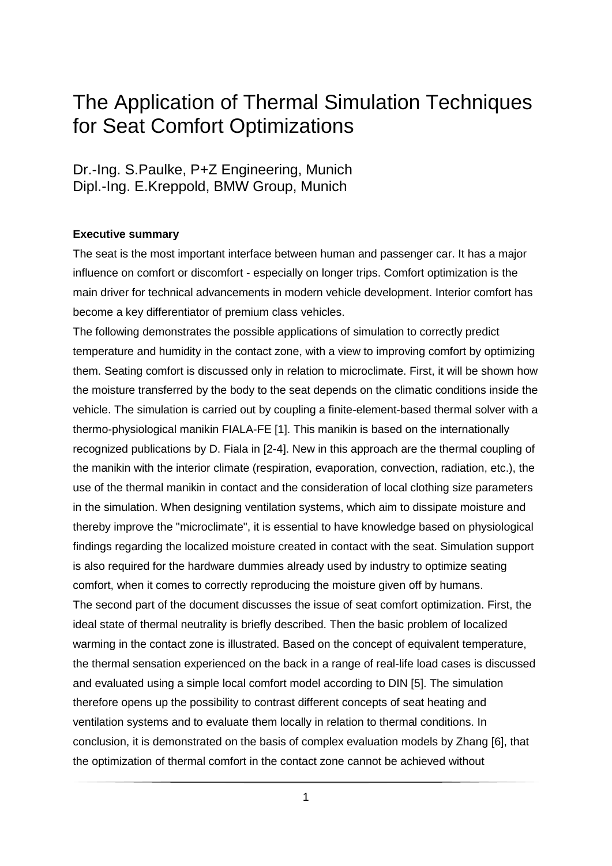# The Application of Thermal Simulation Techniques for Seat Comfort Optimizations

Dr.-Ing. S.Paulke, P+Z Engineering, Munich Dipl.-Ing. E.Kreppold, BMW Group, Munich

## **Executive summary**

The seat is the most important interface between human and passenger car. It has a major influence on comfort or discomfort - especially on longer trips. Comfort optimization is the main driver for technical advancements in modern vehicle development. Interior comfort has become a key differentiator of premium class vehicles.

The following demonstrates the possible applications of simulation to correctly predict temperature and humidity in the contact zone, with a view to improving comfort by optimizing them. Seating comfort is discussed only in relation to microclimate. First, it will be shown how the moisture transferred by the body to the seat depends on the climatic conditions inside the vehicle. The simulation is carried out by coupling a finite-element-based thermal solver with a thermo-physiological manikin FIALA-FE [1]. This manikin is based on the internationally recognized publications by D. Fiala in [2-4]. New in this approach are the thermal coupling of the manikin with the interior climate (respiration, evaporation, convection, radiation, etc.), the use of the thermal manikin in contact and the consideration of local clothing size parameters in the simulation. When designing ventilation systems, which aim to dissipate moisture and thereby improve the "microclimate", it is essential to have knowledge based on physiological findings regarding the localized moisture created in contact with the seat. Simulation support is also required for the hardware dummies already used by industry to optimize seating comfort, when it comes to correctly reproducing the moisture given off by humans. The second part of the document discusses the issue of seat comfort optimization. First, the ideal state of thermal neutrality is briefly described. Then the basic problem of localized warming in the contact zone is illustrated. Based on the concept of equivalent temperature, the thermal sensation experienced on the back in a range of real-life load cases is discussed and evaluated using a simple local comfort model according to DIN [5]. The simulation therefore opens up the possibility to contrast different concepts of seat heating and ventilation systems and to evaluate them locally in relation to thermal conditions. In conclusion, it is demonstrated on the basis of complex evaluation models by Zhang [6], that the optimization of thermal comfort in the contact zone cannot be achieved without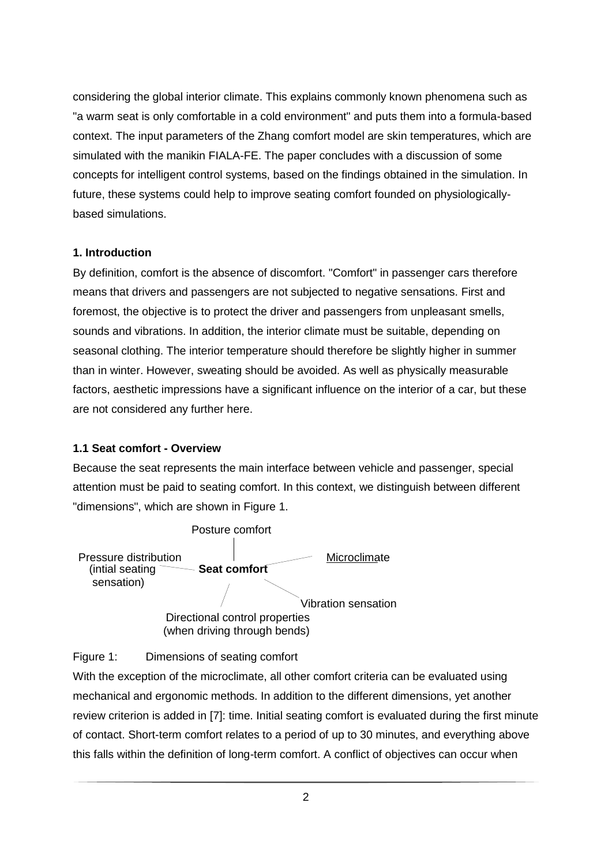considering the global interior climate. This explains commonly known phenomena such as "a warm seat is only comfortable in a cold environment" and puts them into a formula-based context. The input parameters of the Zhang comfort model are skin temperatures, which are simulated with the manikin FIALA-FE. The paper concludes with a discussion of some concepts for intelligent control systems, based on the findings obtained in the simulation. In future, these systems could help to improve seating comfort founded on physiologicallybased simulations.

# **1. Introduction**

By definition, comfort is the absence of discomfort. "Comfort" in passenger cars therefore means that drivers and passengers are not subjected to negative sensations. First and foremost, the objective is to protect the driver and passengers from unpleasant smells, sounds and vibrations. In addition, the interior climate must be suitable, depending on seasonal clothing. The interior temperature should therefore be slightly higher in summer than in winter. However, sweating should be avoided. As well as physically measurable factors, aesthetic impressions have a significant influence on the interior of a car, but these are not considered any further here.

# **1.1 Seat comfort - Overview**

Because the seat represents the main interface between vehicle and passenger, special attention must be paid to seating comfort. In this context, we distinguish between different "dimensions", which are shown in Figure 1.



Figure 1: Dimensions of seating comfort

With the exception of the microclimate, all other comfort criteria can be evaluated using mechanical and ergonomic methods. In addition to the different dimensions, yet another review criterion is added in [7]: time. Initial seating comfort is evaluated during the first minute of contact. Short-term comfort relates to a period of up to 30 minutes, and everything above this falls within the definition of long-term comfort. A conflict of objectives can occur when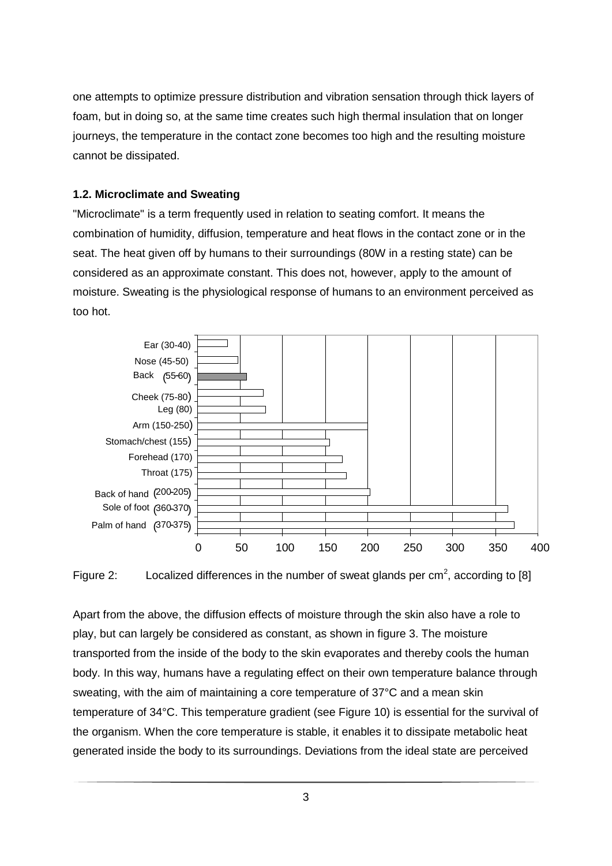one attempts to optimize pressure distribution and vibration sensation through thick layers of foam, but in doing so, at the same time creates such high thermal insulation that on longer journeys, the temperature in the contact zone becomes too high and the resulting moisture cannot be dissipated.

# **1.2. Microclimate and Sweating**

"Microclimate" is a term frequently used in relation to seating comfort. It means the combination of humidity, diffusion, temperature and heat flows in the contact zone or in the seat. The heat given off by humans to their surroundings (80W in a resting state) can be considered as an approximate constant. This does not, however, apply to the amount of moisture. Sweating is the physiological response of humans to an environment perceived as too hot.





Apart from the above, the diffusion effects of moisture through the skin also have a role to play, but can largely be considered as constant, as shown in figure 3. The moisture transported from the inside of the body to the skin evaporates and thereby cools the human body. In this way, humans have a regulating effect on their own temperature balance through sweating, with the aim of maintaining a core temperature of 37°C and a mean skin temperature of 34°C. This temperature gradient (see Figure 10) is essential for the survival of the organism. When the core temperature is stable, it enables it to dissipate metabolic heat generated inside the body to its surroundings. Deviations from the ideal state are perceived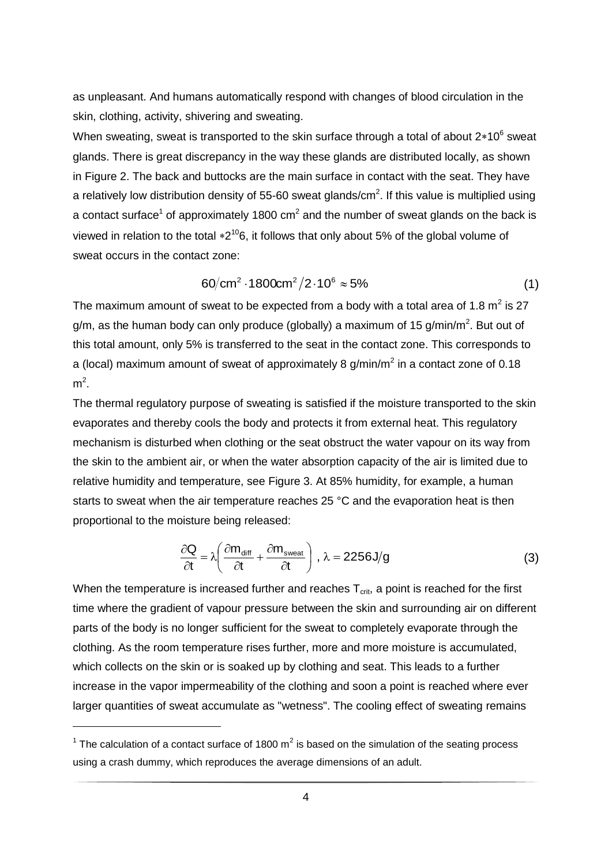as unpleasant. And humans automatically respond with changes of blood circulation in the skin, clothing, activity, shivering and sweating.

When sweating, sweat is transported to the skin surface through a total of about 2 $*10^6$  sweat glands. There is great discrepancy in the way these glands are distributed locally, as shown in Figure 2. The back and buttocks are the main surface in contact with the seat. They have a relatively low distribution density of 55-60 sweat glands/cm<sup>2</sup>. If this value is multiplied using a contact surface<sup>1</sup> of approximately 1800 cm<sup>2</sup> and the number of sweat glands on the back is viewed in relation to the total  $*2^{10}6$ , it follows that only about 5% of the global volume of sweat occurs in the contact zone:

$$
60/cm2 \cdot 1800cm2/2 \cdot 106 \approx 5\%
$$
 (1)

The maximum amount of sweat to be expected from a body with a total area of 1.8  $m^2$  is 27 g/m, as the human body can only produce (globally) a maximum of 15 g/min/m<sup>2</sup>. But out of this total amount, only 5% is transferred to the seat in the contact zone. This corresponds to a (local) maximum amount of sweat of approximately 8 g/min/m<sup>2</sup> in a contact zone of 0.18  $m^2$ .

The thermal regulatory purpose of sweating is satisfied if the moisture transported to the skin evaporates and thereby cools the body and protects it from external heat. This regulatory mechanism is disturbed when clothing or the seat obstruct the water vapour on its way from the skin to the ambient air, or when the water absorption capacity of the air is limited due to relative humidity and temperature, see Figure 3. At 85% humidity, for example, a human starts to sweat when the air temperature reaches 25 °C and the evaporation heat is then proportional to the moisture being released:

$$
\frac{\partial \mathbf{Q}}{\partial t} = \lambda \left( \frac{\partial m_{\text{diff}}}{\partial t} + \frac{\partial m_{\text{sweat}}}{\partial t} \right), \lambda = 2256 \text{ J/g}
$$
 (3)

When the temperature is increased further and reaches  $T_{\text{crit}}$ , a point is reached for the first time where the gradient of vapour pressure between the skin and surrounding air on different parts of the body is no longer sufficient for the sweat to completely evaporate through the clothing. As the room temperature rises further, more and more moisture is accumulated, which collects on the skin or is soaked up by clothing and seat. This leads to a further increase in the vapor impermeability of the clothing and soon a point is reached where ever larger quantities of sweat accumulate as "wetness". The cooling effect of sweating remains

<sup>&</sup>lt;sup>1</sup> The calculation of a contact surface of 1800 m<sup>2</sup> is based on the simulation of the seating process using a crash dummy, which reproduces the average dimensions of an adult.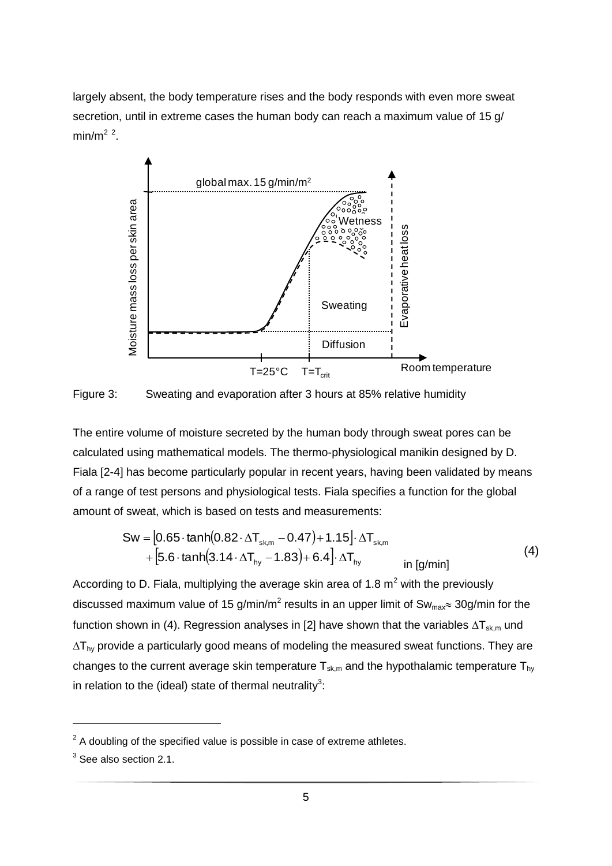largely absent, the body temperature rises and the body responds with even more sweat secretion, until in extreme cases the human body can reach a maximum value of 15 g/ min/m<sup>2</sup> $2$ .



Figure 3: Sweating and evaporation after 3 hours at 85% relative humidity

The entire volume of moisture secreted by the human body through sweat pores can be calculated using mathematical models. The thermo-physiological manikin designed by D. Fiala [2-4] has become particularly popular in recent years, having been validated by means of a range of test persons and physiological tests. Fiala specifies a function for the global amount of sweat, which is based on tests and measurements:

$$
Sw = [0.65 \cdot \tanh(0.82 \cdot \Delta T_{\text{sk,m}} - 0.47) + 1.15] \cdot \Delta T_{\text{sk,m}} + [5.6 \cdot \tanh(3.14 \cdot \Delta T_{\text{hy}} - 1.83) + 6.4] \cdot \Delta T_{\text{hy}} \quad \text{in [g/min]}
$$
(4)

According to D. Fiala, multiplying the average skin area of 1.8  $m<sup>2</sup>$  with the previously discussed maximum value of 15 g/min/m<sup>2</sup> results in an upper limit of Sw<sub>max</sub> 30g/min for the function shown in (4). Regression analyses in [2] have shown that the variables  $\Delta T_{sk,m}$  und  $\Delta T_{hv}$  provide a particularly good means of modeling the measured sweat functions. They are changes to the current average skin temperature  $T_{sk,m}$  and the hypothalamic temperature  $T_{hy}$ in relation to the (ideal) state of thermal neutrality<sup>3</sup>:

 $\overline{a}$ 

 $2^2$  A doubling of the specified value is possible in case of extreme athletes.

 $3$  See also section 2.1.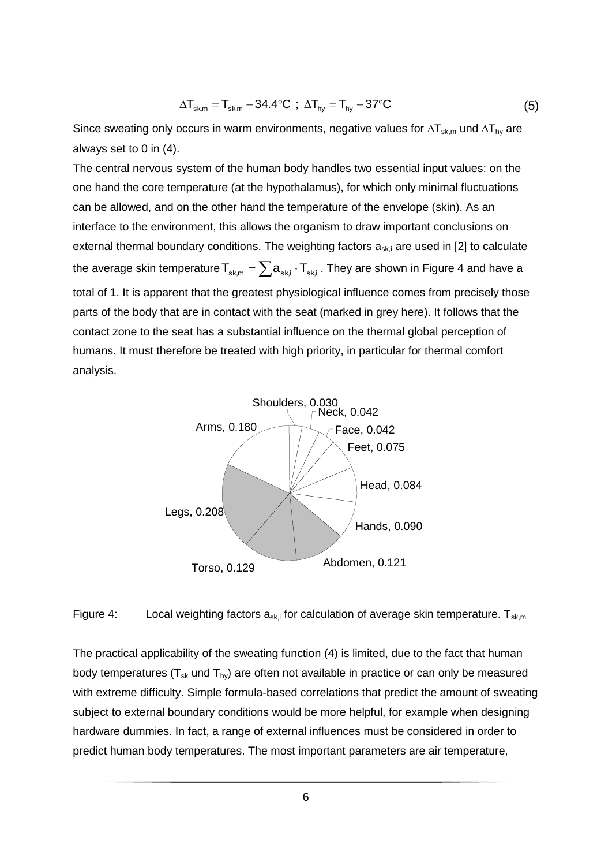$$
\Delta T_{\text{sk,m}} = T_{\text{sk,m}} - 34.4^{\circ}\text{C} \text{ ; } \Delta T_{\text{hy}} = T_{\text{hy}} - 37^{\circ}\text{C}
$$
 (5)

Since sweating only occurs in warm environments, negative values for  $\Delta T_{sk,m}$  und  $\Delta T_{hy}$  are always set to 0 in (4).

The central nervous system of the human body handles two essential input values: on the one hand the core temperature (at the hypothalamus), for which only minimal fluctuations can be allowed, and on the other hand the temperature of the envelope (skin). As an interface to the environment, this allows the organism to draw important conclusions on external thermal boundary conditions. The weighting factors  $a_{sk,i}$  are used in [2] to calculate the average skin temperature  $\mathsf{T}_{\mathsf{sk},\mathsf{m}} = \sum \mathsf{a}_{\mathsf{sk},\mathsf{i}}\cdot \mathsf{T}_{\mathsf{sk},\mathsf{i}}$  . They are shown in Figure 4 and have a total of 1. It is apparent that the greatest physiological influence comes from precisely those parts of the body that are in contact with the seat (marked in grey here). It follows that the contact zone to the seat has a substantial influence on the thermal global perception of humans. It must therefore be treated with high priority, in particular for thermal comfort analysis.



Figure 4: Local weighting factors  $a_{sk,i}$  for calculation of average skin temperature.  $T_{sk,m}$ 

The practical applicability of the sweating function (4) is limited, due to the fact that human body temperatures  $(T_{sk}$  und  $T_{hy}$ ) are often not available in practice or can only be measured with extreme difficulty. Simple formula-based correlations that predict the amount of sweating subject to external boundary conditions would be more helpful, for example when designing hardware dummies. In fact, a range of external influences must be considered in order to predict human body temperatures. The most important parameters are air temperature,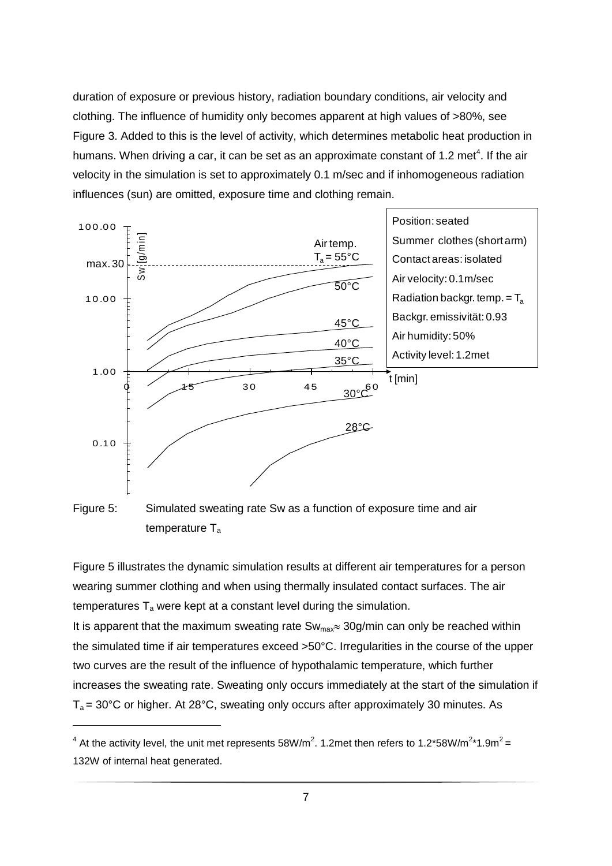duration of exposure or previous history, radiation boundary conditions, air velocity and clothing. The influence of humidity only becomes apparent at high values of >80%, see Figure 3. Added to this is the level of activity, which determines metabolic heat production in humans. When driving a car, it can be set as an approximate constant of 1.2 met<sup>4</sup>. If the air velocity in the simulation is set to approximately 0.1 m/sec and if inhomogeneous radiation influences (sun) are omitted, exposure time and clothing remain.



Figure 5: Simulated sweating rate Sw as a function of exposure time and air temperature T<sup>a</sup>

Figure 5 illustrates the dynamic simulation results at different air temperatures for a person wearing summer clothing and when using thermally insulated contact surfaces. The air temperatures  $T_a$  were kept at a constant level during the simulation.

It is apparent that the maximum sweating rate  $Sw_{\text{max}} \approx 30g/\text{min}$  can only be reached within the simulated time if air temperatures exceed >50°C. Irregularities in the course of the upper two curves are the result of the influence of hypothalamic temperature, which further increases the sweating rate. Sweating only occurs immediately at the start of the simulation if  $T_a = 30^{\circ}$ C or higher. At 28°C, sweating only occurs after approximately 30 minutes. As

 $\overline{a}$ 

<sup>&</sup>lt;sup>4</sup> At the activity level, the unit met represents 58W/m<sup>2</sup>. 1.2met then refers to 1.2\*58W/m<sup>2</sup>\*1.9m<sup>2</sup> = 132W of internal heat generated.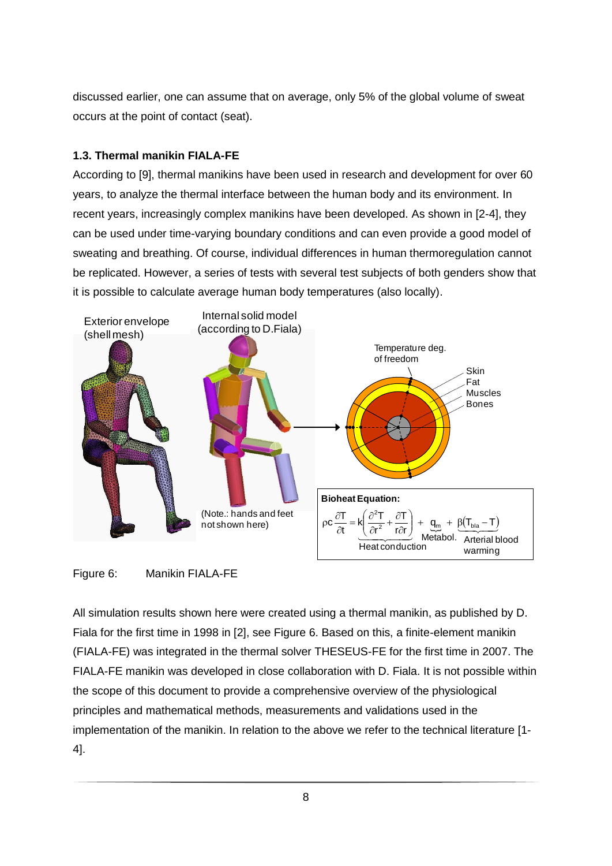discussed earlier, one can assume that on average, only 5% of the global volume of sweat occurs at the point of contact (seat).

# **1.3. Thermal manikin FIALA-FE**

According to [9], thermal manikins have been used in research and development for over 60 years, to analyze the thermal interface between the human body and its environment. In recent years, increasingly complex manikins have been developed. As shown in [2-4], they can be used under time-varying boundary conditions and can even provide a good model of sweating and breathing. Of course, individual differences in human thermoregulation cannot be replicated. However, a series of tests with several test subjects of both genders show that it is possible to calculate average human body temperatures (also locally).



Figure 6: Manikin FIALA-FE

All simulation results shown here were created using a thermal manikin, as published by D. Fiala for the first time in 1998 in [2], see Figure 6. Based on this, a finite-element manikin (FIALA-FE) was integrated in the thermal solver THESEUS-FE for the first time in 2007. The FIALA-FE manikin was developed in close collaboration with D. Fiala. It is not possible within the scope of this document to provide a comprehensive overview of the physiological principles and mathematical methods, measurements and validations used in the implementation of the manikin. In relation to the above we refer to the technical literature [1- 4].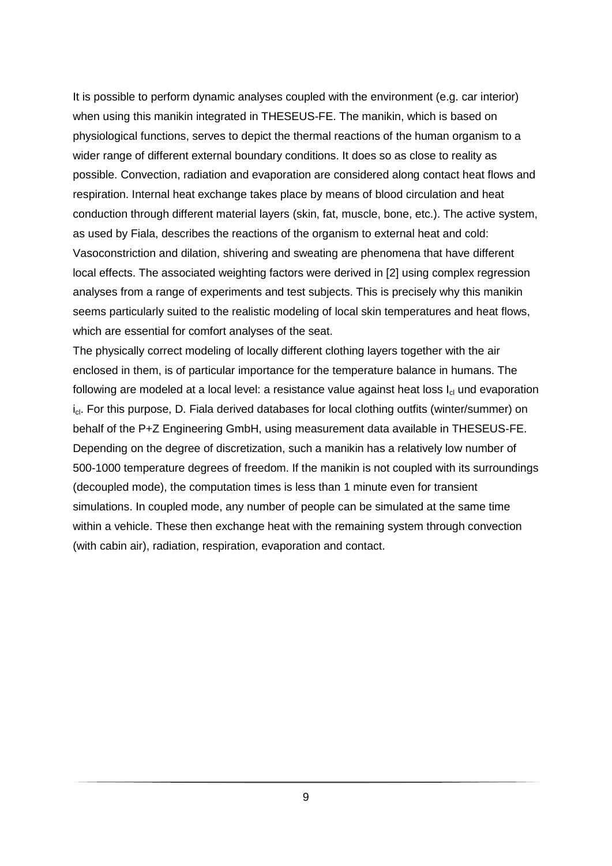It is possible to perform dynamic analyses coupled with the environment (e.g. car interior) when using this manikin integrated in THESEUS-FE. The manikin, which is based on physiological functions, serves to depict the thermal reactions of the human organism to a wider range of different external boundary conditions. It does so as close to reality as possible. Convection, radiation and evaporation are considered along contact heat flows and respiration. Internal heat exchange takes place by means of blood circulation and heat conduction through different material layers (skin, fat, muscle, bone, etc.). The active system, as used by Fiala, describes the reactions of the organism to external heat and cold: Vasoconstriction and dilation, shivering and sweating are phenomena that have different local effects. The associated weighting factors were derived in [2] using complex regression analyses from a range of experiments and test subjects. This is precisely why this manikin seems particularly suited to the realistic modeling of local skin temperatures and heat flows, which are essential for comfort analyses of the seat.

The physically correct modeling of locally different clothing layers together with the air enclosed in them, is of particular importance for the temperature balance in humans. The following are modeled at a local level: a resistance value against heat loss  $I_{cl}$  und evaporation  $i_{cl}$ . For this purpose, D. Fiala derived databases for local clothing outfits (winter/summer) on behalf of the P+Z Engineering GmbH, using measurement data available in THESEUS-FE. Depending on the degree of discretization, such a manikin has a relatively low number of 500-1000 temperature degrees of freedom. If the manikin is not coupled with its surroundings (decoupled mode), the computation times is less than 1 minute even for transient simulations. In coupled mode, any number of people can be simulated at the same time within a vehicle. These then exchange heat with the remaining system through convection (with cabin air), radiation, respiration, evaporation and contact.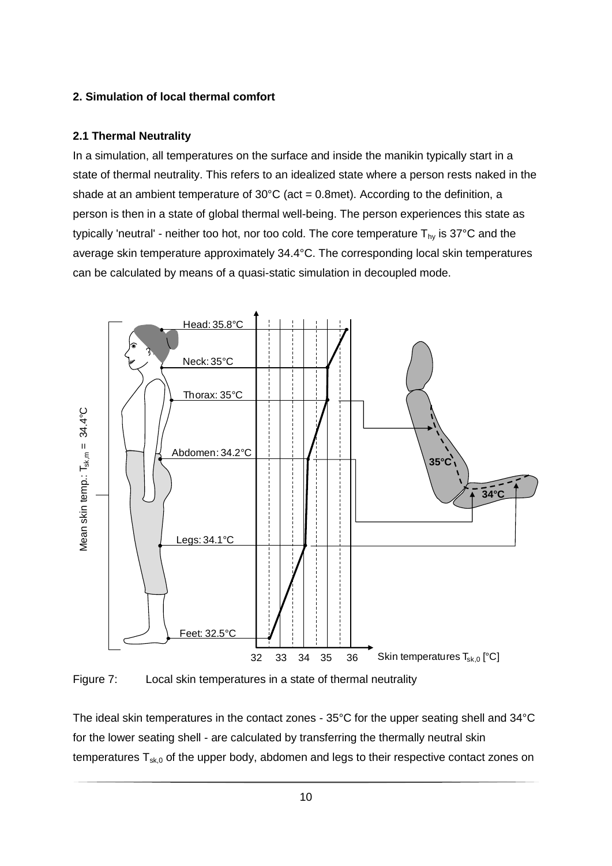# **2. Simulation of local thermal comfort**

## **2.1 Thermal Neutrality**

In a simulation, all temperatures on the surface and inside the manikin typically start in a state of thermal neutrality. This refers to an idealized state where a person rests naked in the shade at an ambient temperature of  $30^{\circ}$ C (act = 0.8met). According to the definition, a person is then in a state of global thermal well-being. The person experiences this state as typically 'neutral' - neither too hot, nor too cold. The core temperature  $T_{hy}$  is 37°C and the average skin temperature approximately 34.4°C. The corresponding local skin temperatures can be calculated by means of a quasi-static simulation in decoupled mode.



Figure 7: Local skin temperatures in a state of thermal neutrality

The ideal skin temperatures in the contact zones - 35°C for the upper seating shell and 34°C for the lower seating shell - are calculated by transferring the thermally neutral skin temperatures  $T_{sk,0}$  of the upper body, abdomen and legs to their respective contact zones on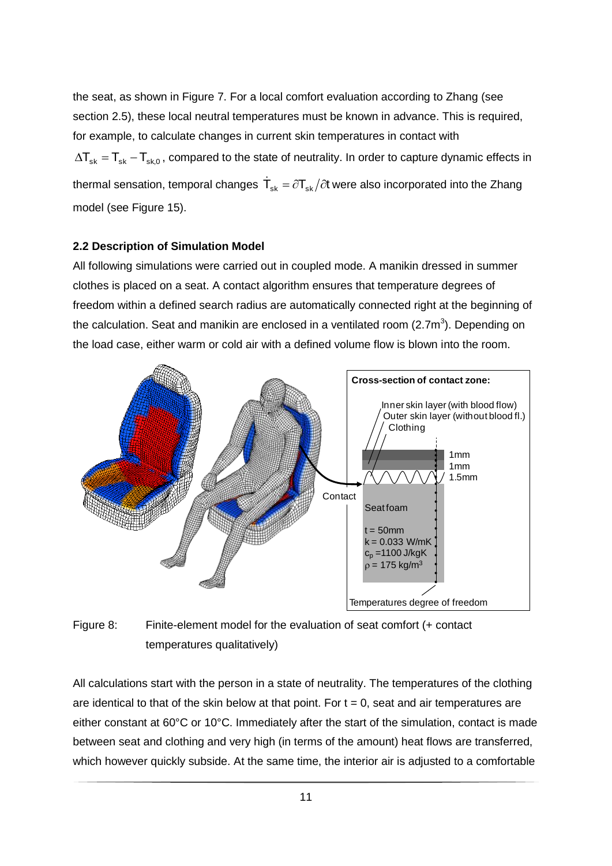the seat, as shown in Figure 7. For a local comfort evaluation according to Zhang (see section 2.5), these local neutral temperatures must be known in advance. This is required, for example, to calculate changes in current skin temperatures in contact with  $\Delta T_{\rm sk}$  =  $T_{\rm sk,0}$  , compared to the state of neutrality. In order to capture dynamic effects in thermal sensation, temporal changes  $\,\mathsf{\dot{T}_{sk}}=\partial \mathsf{T}_{sk}/\partial t$  were also incorporated into the Zhang model (see Figure 15).

#### **2.2 Description of Simulation Model**

All following simulations were carried out in coupled mode. A manikin dressed in summer clothes is placed on a seat. A contact algorithm ensures that temperature degrees of freedom within a defined search radius are automatically connected right at the beginning of the calculation. Seat and manikin are enclosed in a ventilated room (2.7m<sup>3</sup>). Depending on the load case, either warm or cold air with a defined volume flow is blown into the room.



Figure 8: Finite-element model for the evaluation of seat comfort (+ contact temperatures qualitatively)

All calculations start with the person in a state of neutrality. The temperatures of the clothing are identical to that of the skin below at that point. For  $t = 0$ , seat and air temperatures are either constant at 60°C or 10°C. Immediately after the start of the simulation, contact is made between seat and clothing and very high (in terms of the amount) heat flows are transferred, which however quickly subside. At the same time, the interior air is adjusted to a comfortable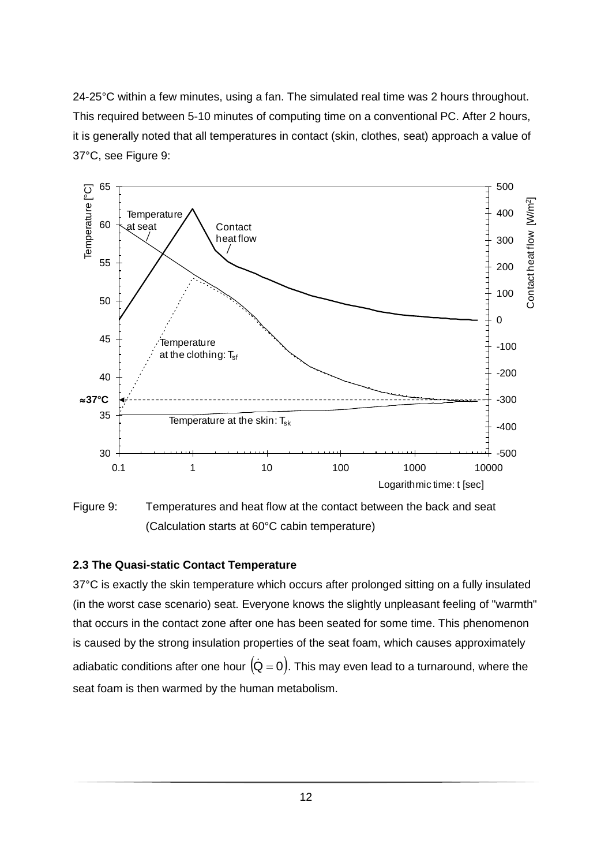24-25°C within a few minutes, using a fan. The simulated real time was 2 hours throughout. This required between 5-10 minutes of computing time on a conventional PC. After 2 hours, it is generally noted that all temperatures in contact (skin, clothes, seat) approach a value of 37°C, see Figure 9:



Figure 9: Temperatures and heat flow at the contact between the back and seat (Calculation starts at 60°C cabin temperature)

## **2.3 The Quasi-static Contact Temperature**

37°C is exactly the skin temperature which occurs after prolonged sitting on a fully insulated (in the worst case scenario) seat. Everyone knows the slightly unpleasant feeling of "warmth" that occurs in the contact zone after one has been seated for some time. This phenomenon is caused by the strong insulation properties of the seat foam, which causes approximately adiabatic conditions after one hour  $\acute({\bf Q}= {\bf 0})$ . This may even lead to a turnaround, where the seat foam is then warmed by the human metabolism.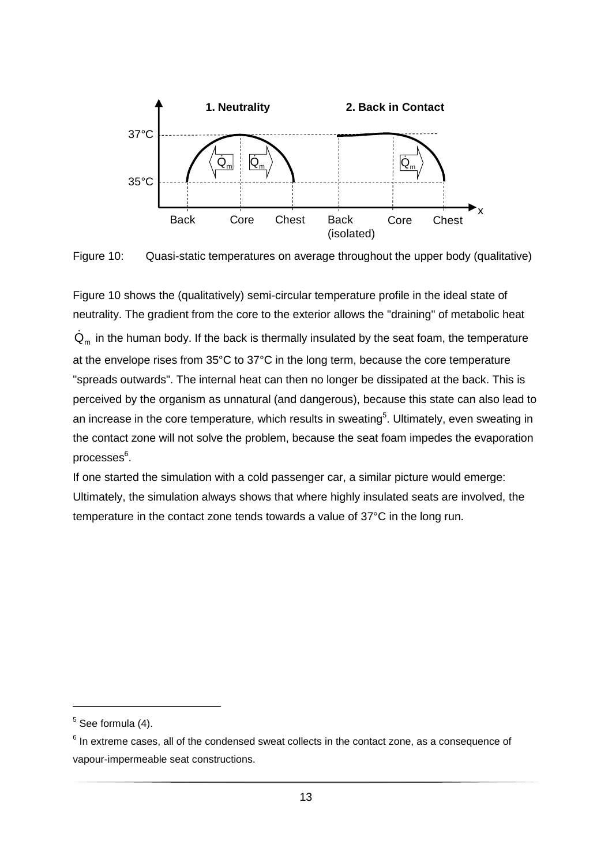

Figure 10: Quasi-static temperatures on average throughout the upper body (qualitative)

Figure 10 shows the (qualitatively) semi-circular temperature profile in the ideal state of neutrality. The gradient from the core to the exterior allows the "draining" of metabolic heat  $\dot{\textbf{Q}}_{\text{m}}$  in the human body. If the back is thermally insulated by the seat foam, the temperature at the envelope rises from 35°C to 37°C in the long term, because the core temperature "spreads outwards". The internal heat can then no longer be dissipated at the back. This is perceived by the organism as unnatural (and dangerous), because this state can also lead to an increase in the core temperature, which results in sweating<sup>5</sup>. Ultimately, even sweating in the contact zone will not solve the problem, because the seat foam impedes the evaporation processes<sup>6</sup>.

If one started the simulation with a cold passenger car, a similar picture would emerge: Ultimately, the simulation always shows that where highly insulated seats are involved, the temperature in the contact zone tends towards a value of 37°C in the long run.

 $<sup>5</sup>$  See formula (4).</sup>

 $<sup>6</sup>$  In extreme cases, all of the condensed sweat collects in the contact zone, as a consequence of</sup> vapour-impermeable seat constructions.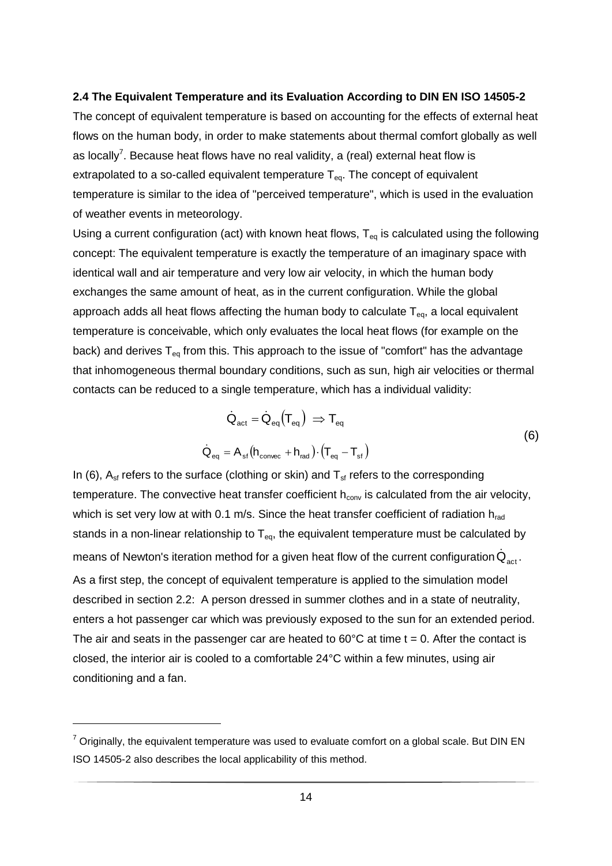## **2.4 The Equivalent Temperature and its Evaluation According to DIN EN ISO 14505-2**

The concept of equivalent temperature is based on accounting for the effects of external heat flows on the human body, in order to make statements about thermal comfort globally as well as locally<sup>7</sup>. Because heat flows have no real validity, a (real) external heat flow is extrapolated to a so-called equivalent temperature  $T_{eq}$ . The concept of equivalent temperature is similar to the idea of "perceived temperature", which is used in the evaluation of weather events in meteorology.

Using a current configuration (act) with known heat flows,  $T_{eq}$  is calculated using the following concept: The equivalent temperature is exactly the temperature of an imaginary space with identical wall and air temperature and very low air velocity, in which the human body exchanges the same amount of heat, as in the current configuration. While the global approach adds all heat flows affecting the human body to calculate  $T_{eq}$ , a local equivalent temperature is conceivable, which only evaluates the local heat flows (for example on the back) and derives  $T_{eq}$  from this. This approach to the issue of "comfort" has the advantage that inhomogeneous thermal boundary conditions, such as sun, high air velocities or thermal contacts can be reduced to a single temperature, which has a individual validity:

$$
\dot{Q}_{act} = \dot{Q}_{eq} (T_{eq}) \Rightarrow T_{eq}
$$
\n
$$
\dot{Q}_{eq} = A_{sf} (h_{convec} + h_{rad}) \cdot (T_{eq} - T_{sf})
$$
\n(6)

In (6),  $A_{sf}$  refers to the surface (clothing or skin) and  $T_{sf}$  refers to the corresponding temperature. The convective heat transfer coefficient  $h_{conv}$  is calculated from the air velocity, which is set very low at with 0.1 m/s. Since the heat transfer coefficient of radiation  $h_{rad}$ stands in a non-linear relationship to  $T_{eq}$ , the equivalent temperature must be calculated by means of Newton's iteration method for a given heat flow of the current configuration  $\dot{\mathsf{Q}}_{\mathsf{act}}$ . As a first step, the concept of equivalent temperature is applied to the simulation model described in section 2.2: A person dressed in summer clothes and in a state of neutrality, enters a hot passenger car which was previously exposed to the sun for an extended period. The air and seats in the passenger car are heated to  $60^{\circ}$ C at time t = 0. After the contact is closed, the interior air is cooled to a comfortable 24°C within a few minutes, using air conditioning and a fan.

 $\overline{a}$ 

 $7$  Originally, the equivalent temperature was used to evaluate comfort on a global scale. But DIN EN ISO 14505-2 also describes the local applicability of this method.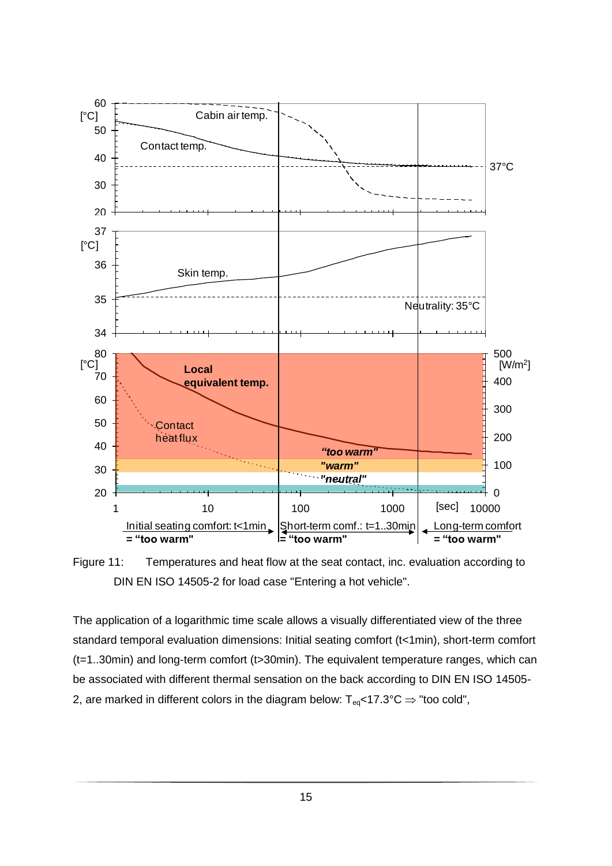

Figure 11: Temperatures and heat flow at the seat contact, inc. evaluation according to DIN EN ISO 14505-2 for load case "Entering a hot vehicle".

The application of a logarithmic time scale allows a visually differentiated view of the three standard temporal evaluation dimensions: Initial seating comfort (t<1min), short-term comfort (t=1..30min) and long-term comfort (t>30min). The equivalent temperature ranges, which can be associated with different thermal sensation on the back according to DIN EN ISO 14505- 2, are marked in different colors in the diagram below:  $T_{eq}$ <17.3°C  $\Rightarrow$  "too cold",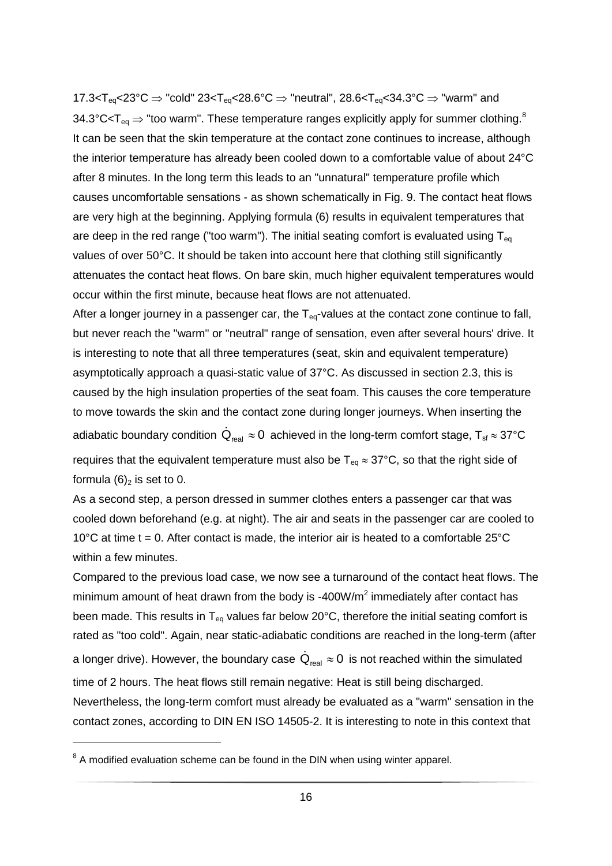17.3<T<sub>eq</sub><23°C  $\Rightarrow$  "cold" 23<T<sub>eq</sub><28.6°C  $\Rightarrow$  "neutral", 28.6<T<sub>eq</sub><34.3°C  $\Rightarrow$  "warm" and 34.3°C<T<sub>eq</sub>  $\Rightarrow$  "too warm". These temperature ranges explicitly apply for summer clothing.<sup>8</sup> It can be seen that the skin temperature at the contact zone continues to increase, although the interior temperature has already been cooled down to a comfortable value of about 24°C after 8 minutes. In the long term this leads to an "unnatural" temperature profile which causes uncomfortable sensations - as shown schematically in Fig. 9. The contact heat flows are very high at the beginning. Applying formula (6) results in equivalent temperatures that are deep in the red range ("too warm"). The initial seating comfort is evaluated using  $T_{eq}$ values of over 50°C. It should be taken into account here that clothing still significantly attenuates the contact heat flows. On bare skin, much higher equivalent temperatures would occur within the first minute, because heat flows are not attenuated.

After a longer journey in a passenger car, the  $T_{eq}$ -values at the contact zone continue to fall, but never reach the "warm" or "neutral" range of sensation, even after several hours' drive. It is interesting to note that all three temperatures (seat, skin and equivalent temperature) asymptotically approach a quasi-static value of 37°C. As discussed in section 2.3, this is caused by the high insulation properties of the seat foam. This causes the core temperature to move towards the skin and the contact zone during longer journeys. When inserting the adiabatic boundary condition  $\dot{\mathsf{Q}}_\text{real} \approx 0\,$  achieved in the long-term comfort stage,  $\mathsf{T}_\text{sf} \approx 37^\circ\mathsf{C}$ requires that the equivalent temperature must also be  $T_{eq} \approx 37^{\circ}$ C, so that the right side of formula  $(6)_2$  is set to 0.

As a second step, a person dressed in summer clothes enters a passenger car that was cooled down beforehand (e.g. at night). The air and seats in the passenger car are cooled to 10 $^{\circ}$ C at time t = 0. After contact is made, the interior air is heated to a comfortable 25 $^{\circ}$ C within a few minutes.

Compared to the previous load case, we now see a turnaround of the contact heat flows. The minimum amount of heat drawn from the body is -400W/m<sup>2</sup> immediately after contact has been made. This results in  $T_{eq}$  values far below 20°C, therefore the initial seating comfort is rated as "too cold". Again, near static-adiabatic conditions are reached in the long-term (after a longer drive). However, the boundary case  $\dot{\mathsf{Q}}_\mathsf{real} \approx 0\,$  is not reached within the simulated time of 2 hours. The heat flows still remain negative: Heat is still being discharged. Nevertheless, the long-term comfort must already be evaluated as a "warm" sensation in the contact zones, according to DIN EN ISO 14505-2. It is interesting to note in this context that

 $8$  A modified evaluation scheme can be found in the DIN when using winter apparel.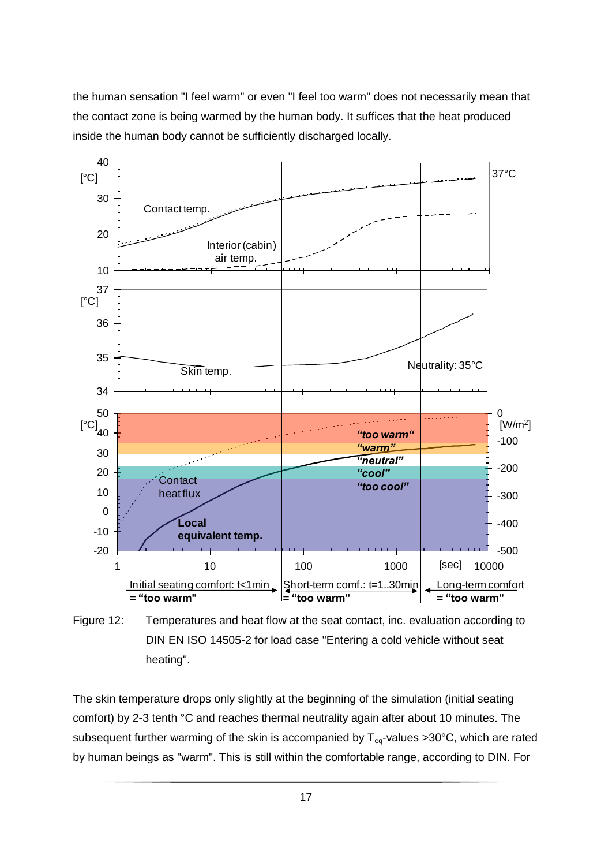the human sensation "I feel warm" or even "I feel too warm" does not necessarily mean that the contact zone is being warmed by the human body. It suffices that the heat produced inside the human body cannot be sufficiently discharged locally.



Figure 12: Temperatures and heat flow at the seat contact, inc. evaluation according to DIN EN ISO 14505-2 for load case "Entering a cold vehicle without seat heating".

The skin temperature drops only slightly at the beginning of the simulation (initial seating comfort) by 2-3 tenth °C and reaches thermal neutrality again after about 10 minutes. The subsequent further warming of the skin is accompanied by  $T_{eq}$ -values >30°C, which are rated by human beings as "warm". This is still within the comfortable range, according to DIN. For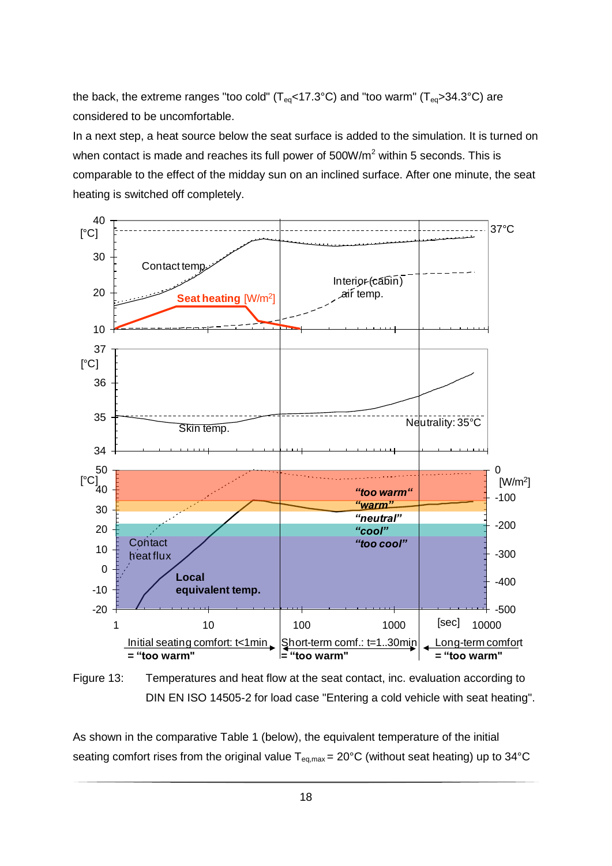the back, the extreme ranges "too cold" ( $T_{eq}$ <17.3°C) and "too warm" ( $T_{eq}$ >34.3°C) are considered to be uncomfortable.

In a next step, a heat source below the seat surface is added to the simulation. It is turned on when contact is made and reaches its full power of  $500W/m<sup>2</sup>$  within 5 seconds. This is comparable to the effect of the midday sun on an inclined surface. After one minute, the seat heating is switched off completely.



Figure 13: Temperatures and heat flow at the seat contact, inc. evaluation according to DIN EN ISO 14505-2 for load case "Entering a cold vehicle with seat heating".

As shown in the comparative Table 1 (below), the equivalent temperature of the initial seating comfort rises from the original value  $T_{eq, max} = 20^{\circ}C$  (without seat heating) up to 34°C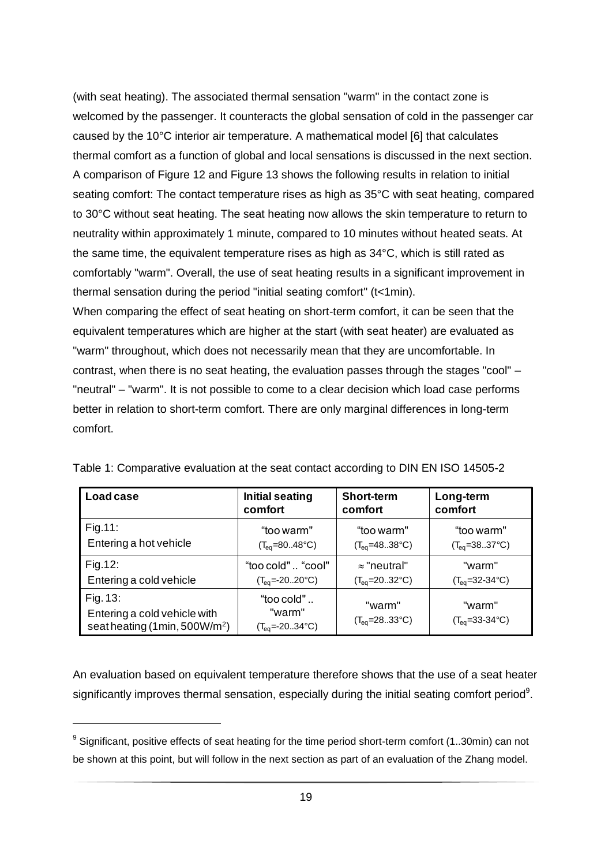(with seat heating). The associated thermal sensation "warm" in the contact zone is welcomed by the passenger. It counteracts the global sensation of cold in the passenger car caused by the 10°C interior air temperature. A mathematical model [6] that calculates thermal comfort as a function of global and local sensations is discussed in the next section. A comparison of Figure 12 and Figure 13 shows the following results in relation to initial seating comfort: The contact temperature rises as high as 35°C with seat heating, compared to 30°C without seat heating. The seat heating now allows the skin temperature to return to neutrality within approximately 1 minute, compared to 10 minutes without heated seats. At the same time, the equivalent temperature rises as high as 34°C, which is still rated as comfortably "warm". Overall, the use of seat heating results in a significant improvement in thermal sensation during the period "initial seating comfort" (t<1min).

When comparing the effect of seat heating on short-term comfort, it can be seen that the equivalent temperatures which are higher at the start (with seat heater) are evaluated as "warm" throughout, which does not necessarily mean that they are uncomfortable. In contrast, when there is no seat heating, the evaluation passes through the stages "cool" – "neutral" – "warm". It is not possible to come to a clear decision which load case performs better in relation to short-term comfort. There are only marginal differences in long-term comfort.

| Load case                                                                            | <b>Initial seating</b>                        | <b>Short-term</b>                  | Long-term                           |
|--------------------------------------------------------------------------------------|-----------------------------------------------|------------------------------------|-------------------------------------|
|                                                                                      | comfort                                       | comfort                            | comfort                             |
| Fig.11:                                                                              | "too warm"                                    | "too warm"                         | "too warm"                          |
| Entering a hot vehicle                                                               | $(T_{eq} = 8048$ °C)                          | $(T_{eq} = 4838$ °C)               | $(T_{eq} = 3837^{\circ}C)$          |
| Fig.12:                                                                              | "too cold"  "cool"                            | $\approx$ "neutral"                | "warm"                              |
| Entering a cold vehicle                                                              | $(T_{eq} = -20.20$ °C)                        | $(T_{eq}=2032^{\circ}C)$           | $(T_{eq}=32-34\degree C)$           |
| Fig. 13:<br>Entering a cold vehicle with<br>seatheating (1min, 500W/m <sup>2</sup> ) | "too cold"<br>"warm"<br>$(T_{eq} = -2034$ °C) | "warm"<br>$(T_{eq}=2833^{\circ}C)$ | "warm"<br>$(T_{eq}=33-34\degree C)$ |

Table 1: Comparative evaluation at the seat contact according to DIN EN ISO 14505-2

An evaluation based on equivalent temperature therefore shows that the use of a seat heater significantly improves thermal sensation, especially during the initial seating comfort period<sup>9</sup>.

 $\overline{a}$ 

 $9$  Significant, positive effects of seat heating for the time period short-term comfort (1..30min) can not be shown at this point, but will follow in the next section as part of an evaluation of the Zhang model.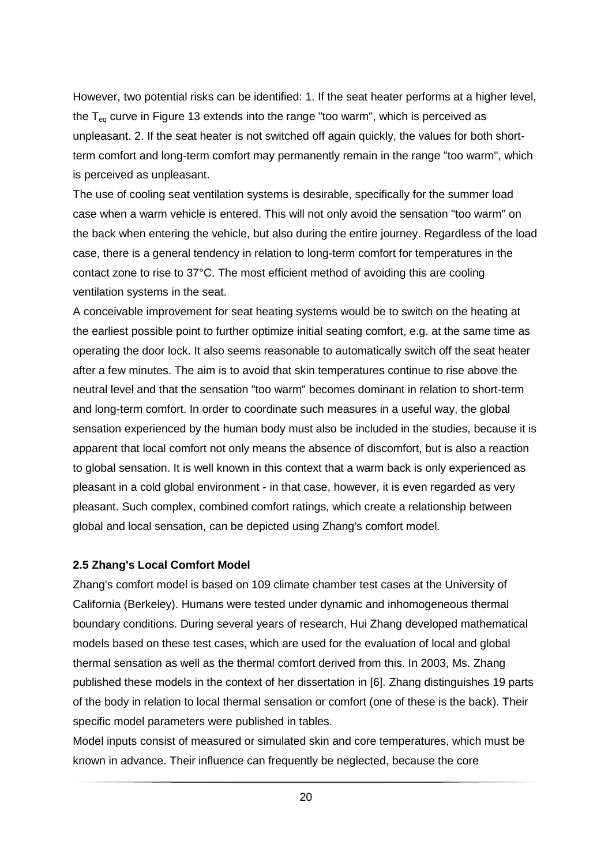However, two potential risks can be identified: 1. If the seat heater performs at a higher level, the  $T_{eq}$  curve in Figure 13 extends into the range "too warm", which is perceived as unpleasant. 2. If the seat heater is not switched off again quickly, the values for both shortterm comfort and long-term comfort may permanently remain in the range "too warm", which is perceived as unpleasant.

The use of cooling seat ventilation systems is desirable, specifically for the summer load case when a warm vehicle is entered. This will not only avoid the sensation "too warm" on the back when entering the vehicle, but also during the entire journey. Regardless of the load case, there is a general tendency in relation to long-term comfort for temperatures in the contact zone to rise to 37°C. The most efficient method of avoiding this are cooling ventilation systems in the seat.

A conceivable improvement for seat heating systems would be to switch on the heating at the earliest possible point to further optimize initial seating comfort, e.g. at the same time as operating the door lock. It also seems reasonable to automatically switch off the seat heater after a few minutes. The aim is to avoid that skin temperatures continue to rise above the neutral level and that the sensation "too warm" becomes dominant in relation to short-term and long-term comfort. In order to coordinate such measures in a useful way, the global sensation experienced by the human body must also be included in the studies, because it is apparent that local comfort not only means the absence of discomfort, but is also a reaction to global sensation. It is well known in this context that a warm back is only experienced as pleasant in a cold global environment - in that case, however, it is even regarded as very pleasant. Such complex, combined comfort ratings, which create a relationship between global and local sensation, can be depicted using Zhang's comfort model.

#### **2.5 Zhang's Local Comfort Model**

Zhang's comfort model is based on 109 climate chamber test cases at the University of California (Berkeley). Humans were tested under dynamic and inhomogeneous thermal boundary conditions. During several years of research, Hui Zhang developed mathematical models based on these test cases, which are used for the evaluation of local and global thermal sensation as well as the thermal comfort derived from this. In 2003, Ms. Zhang published these models in the context of her dissertation in [6]. Zhang distinguishes 19 parts of the body in relation to local thermal sensation or comfort (one of these is the back). Their specific model parameters were published in tables.

Model inputs consist of measured or simulated skin and core temperatures, which must be known in advance. Their influence can frequently be neglected, because the core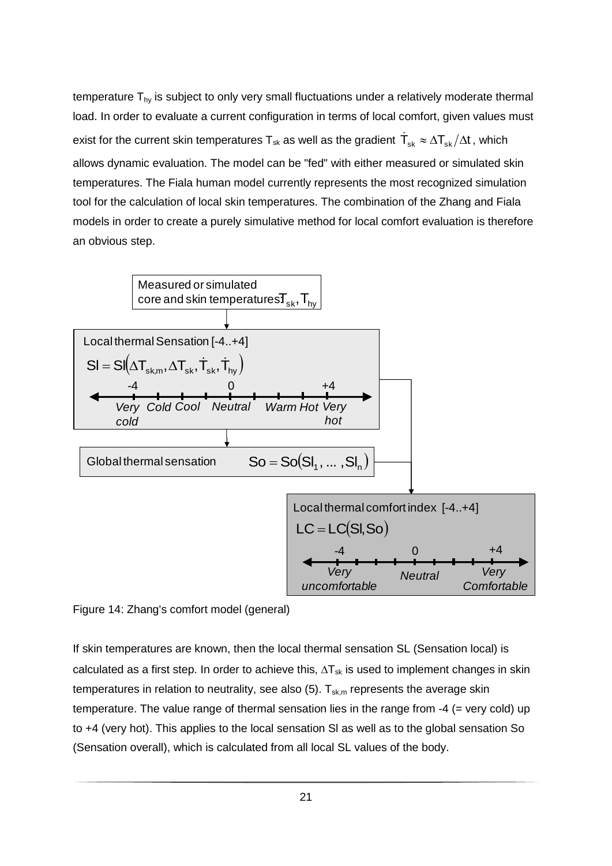temperature  $T_{hy}$  is subject to only very small fluctuations under a relatively moderate thermal load. In order to evaluate a current configuration in terms of local comfort, given values must exist for the current skin temperatures  $\sf T_{\sf sk}$  as well as the gradient  $\sf \dot{T}_{\sf sk} \approx \Delta T_{\sf sk}/\Delta t$  , which allows dynamic evaluation. The model can be "fed" with either measured or simulated skin temperatures. The Fiala human model currently represents the most recognized simulation tool for the calculation of local skin temperatures. The combination of the Zhang and Fiala models in order to create a purely simulative method for local comfort evaluation is therefore an obvious step.



Figure 14: Zhang's comfort model (general)

If skin temperatures are known, then the local thermal sensation SL (Sensation local) is calculated as a first step. In order to achieve this,  $\Delta T_{sk}$  is used to implement changes in skin temperatures in relation to neutrality, see also  $(5)$ .  $T_{sk,m}$  represents the average skin temperature. The value range of thermal sensation lies in the range from -4 (= very cold) up to +4 (very hot). This applies to the local sensation Sl as well as to the global sensation So (Sensation overall), which is calculated from all local SL values of the body.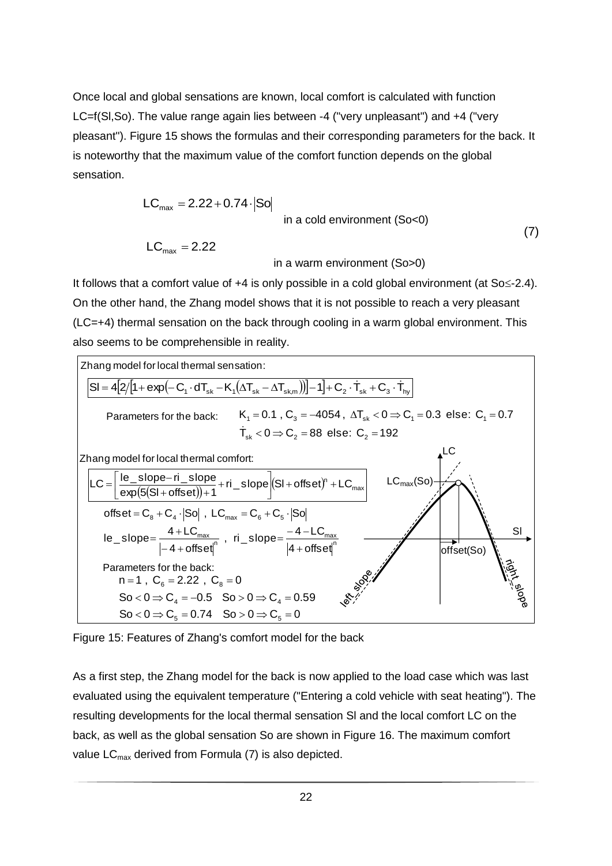Once local and global sensations are known, local comfort is calculated with function LC=f(Sl,So). The value range again lies between -4 ("very unpleasant") and +4 ("very pleasant"). Figure 15 shows the formulas and their corresponding parameters for the back. It is noteworthy that the maximum value of the comfort function depends on the global sensation.

$$
LC_{\text{max}} = 2.22 + 0.74 \cdot |SO|
$$
  
in a cold environment (So<0)  

$$
LC_{\text{max}} = 2.22
$$
  
in a warm environment (So>0) (7)

It follows that a comfort value of  $+4$  is only possible in a cold global environment (at So $\leq$ -2.4). On the other hand, the Zhang model shows that it is not possible to reach a very pleasant (LC=+4) thermal sensation on the back through cooling in a warm global environment. This also seems to be comprehensible in reality.



Figure 15: Features of Zhang's comfort model for the back

As a first step, the Zhang model for the back is now applied to the load case which was last evaluated using the equivalent temperature ("Entering a cold vehicle with seat heating"). The resulting developments for the local thermal sensation Sl and the local comfort LC on the back, as well as the global sensation So are shown in Figure 16. The maximum comfort value  $LC_{\text{max}}$  derived from Formula (7) is also depicted.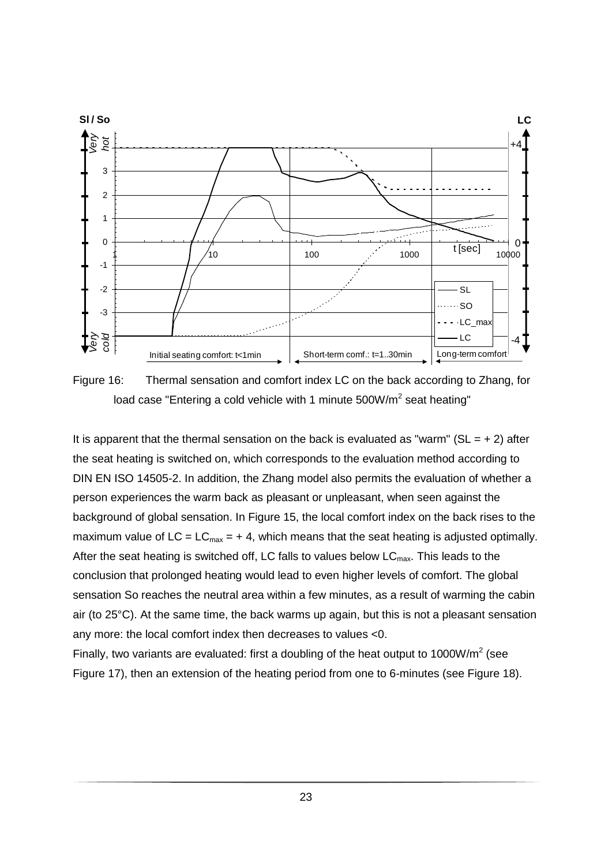

Figure 16: Thermal sensation and comfort index LC on the back according to Zhang, for load case "Entering a cold vehicle with 1 minute 500W/m<sup>2</sup> seat heating"

It is apparent that the thermal sensation on the back is evaluated as "warm" ( $SL = +2$ ) after the seat heating is switched on, which corresponds to the evaluation method according to DIN EN ISO 14505-2. In addition, the Zhang model also permits the evaluation of whether a person experiences the warm back as pleasant or unpleasant, when seen against the background of global sensation. In Figure 15, the local comfort index on the back rises to the maximum value of  $LC = LC_{max} = +4$ , which means that the seat heating is adjusted optimally. After the seat heating is switched off, LC falls to values below  $LC_{\text{max}}$ . This leads to the conclusion that prolonged heating would lead to even higher levels of comfort. The global sensation So reaches the neutral area within a few minutes, as a result of warming the cabin air (to 25°C). At the same time, the back warms up again, but this is not a pleasant sensation any more: the local comfort index then decreases to values <0.

Finally, two variants are evaluated: first a doubling of the heat output to 1000W/m<sup>2</sup> (see Figure 17), then an extension of the heating period from one to 6-minutes (see Figure 18).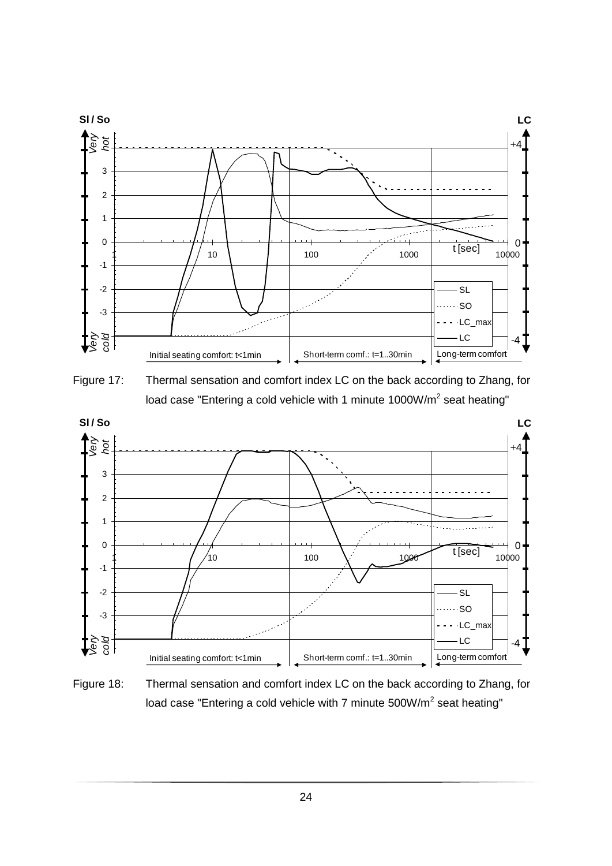

Figure 17: Thermal sensation and comfort index LC on the back according to Zhang, for load case "Entering a cold vehicle with 1 minute 1000W/m<sup>2</sup> seat heating"



Figure 18: Thermal sensation and comfort index LC on the back according to Zhang, for load case "Entering a cold vehicle with 7 minute  $500W/m<sup>2</sup>$  seat heating"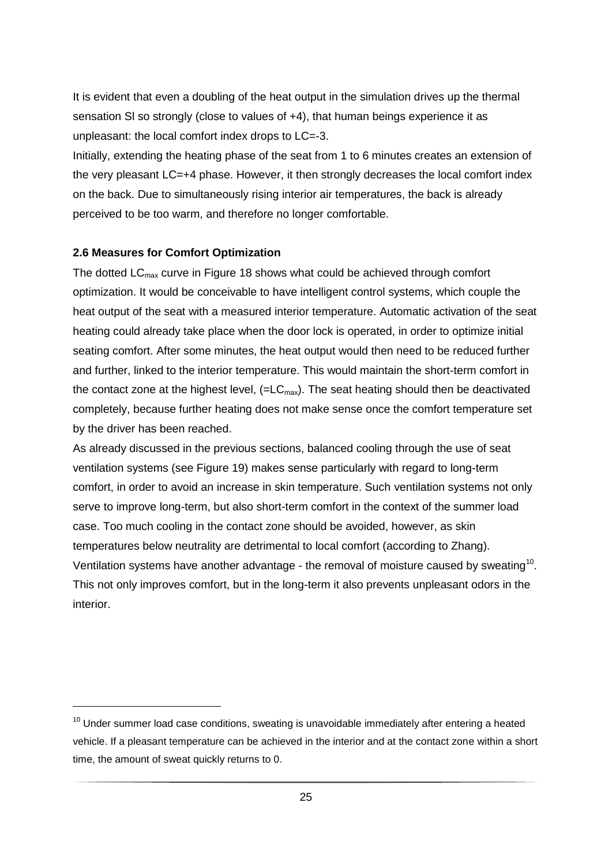It is evident that even a doubling of the heat output in the simulation drives up the thermal sensation Sl so strongly (close to values of +4), that human beings experience it as unpleasant: the local comfort index drops to LC=-3.

Initially, extending the heating phase of the seat from 1 to 6 minutes creates an extension of the very pleasant LC=+4 phase. However, it then strongly decreases the local comfort index on the back. Due to simultaneously rising interior air temperatures, the back is already perceived to be too warm, and therefore no longer comfortable.

## **2.6 Measures for Comfort Optimization**

The dotted  $LC<sub>max</sub>$  curve in Figure 18 shows what could be achieved through comfort optimization. It would be conceivable to have intelligent control systems, which couple the heat output of the seat with a measured interior temperature. Automatic activation of the seat heating could already take place when the door lock is operated, in order to optimize initial seating comfort. After some minutes, the heat output would then need to be reduced further and further, linked to the interior temperature. This would maintain the short-term comfort in the contact zone at the highest level,  $(=LC_{max})$ . The seat heating should then be deactivated completely, because further heating does not make sense once the comfort temperature set by the driver has been reached.

As already discussed in the previous sections, balanced cooling through the use of seat ventilation systems (see Figure 19) makes sense particularly with regard to long-term comfort, in order to avoid an increase in skin temperature. Such ventilation systems not only serve to improve long-term, but also short-term comfort in the context of the summer load case. Too much cooling in the contact zone should be avoided, however, as skin temperatures below neutrality are detrimental to local comfort (according to Zhang). Ventilation systems have another advantage - the removal of moisture caused by sweating<sup>10</sup>. This not only improves comfort, but in the long-term it also prevents unpleasant odors in the interior.

 $10$  Under summer load case conditions, sweating is unavoidable immediately after entering a heated vehicle. If a pleasant temperature can be achieved in the interior and at the contact zone within a short time, the amount of sweat quickly returns to 0.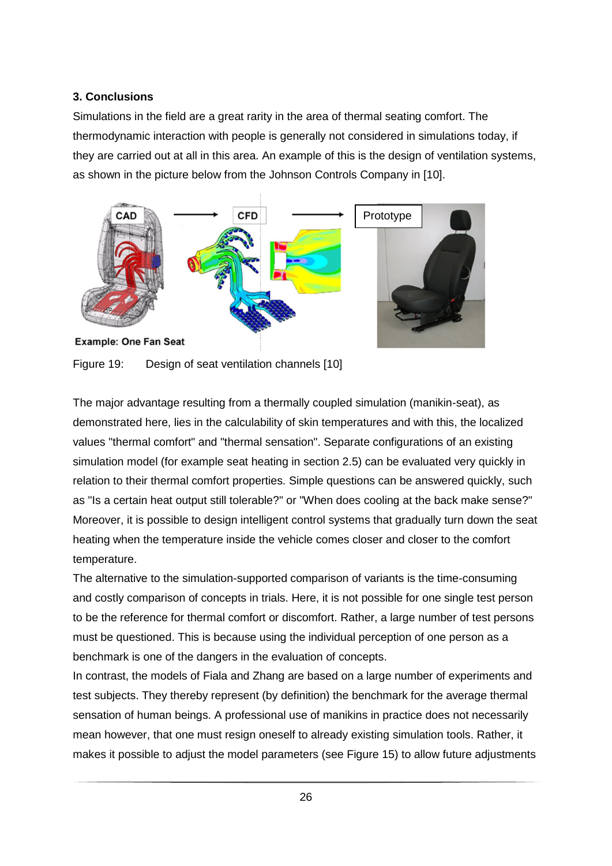# **3. Conclusions**

Simulations in the field are a great rarity in the area of thermal seating comfort. The thermodynamic interaction with people is generally not considered in simulations today, if they are carried out at all in this area. An example of this is the design of ventilation systems, as shown in the picture below from the Johnson Controls Company in [10].



Figure 19: Design of seat ventilation channels [10]

The major advantage resulting from a thermally coupled simulation (manikin-seat), as demonstrated here, lies in the calculability of skin temperatures and with this, the localized values "thermal comfort" and "thermal sensation". Separate configurations of an existing simulation model (for example seat heating in section 2.5) can be evaluated very quickly in relation to their thermal comfort properties. Simple questions can be answered quickly, such as "Is a certain heat output still tolerable?" or "When does cooling at the back make sense?" Moreover, it is possible to design intelligent control systems that gradually turn down the seat heating when the temperature inside the vehicle comes closer and closer to the comfort temperature.

The alternative to the simulation-supported comparison of variants is the time-consuming and costly comparison of concepts in trials. Here, it is not possible for one single test person to be the reference for thermal comfort or discomfort. Rather, a large number of test persons must be questioned. This is because using the individual perception of one person as a benchmark is one of the dangers in the evaluation of concepts.

In contrast, the models of Fiala and Zhang are based on a large number of experiments and test subjects. They thereby represent (by definition) the benchmark for the average thermal sensation of human beings. A professional use of manikins in practice does not necessarily mean however, that one must resign oneself to already existing simulation tools. Rather, it makes it possible to adjust the model parameters (see Figure 15) to allow future adjustments